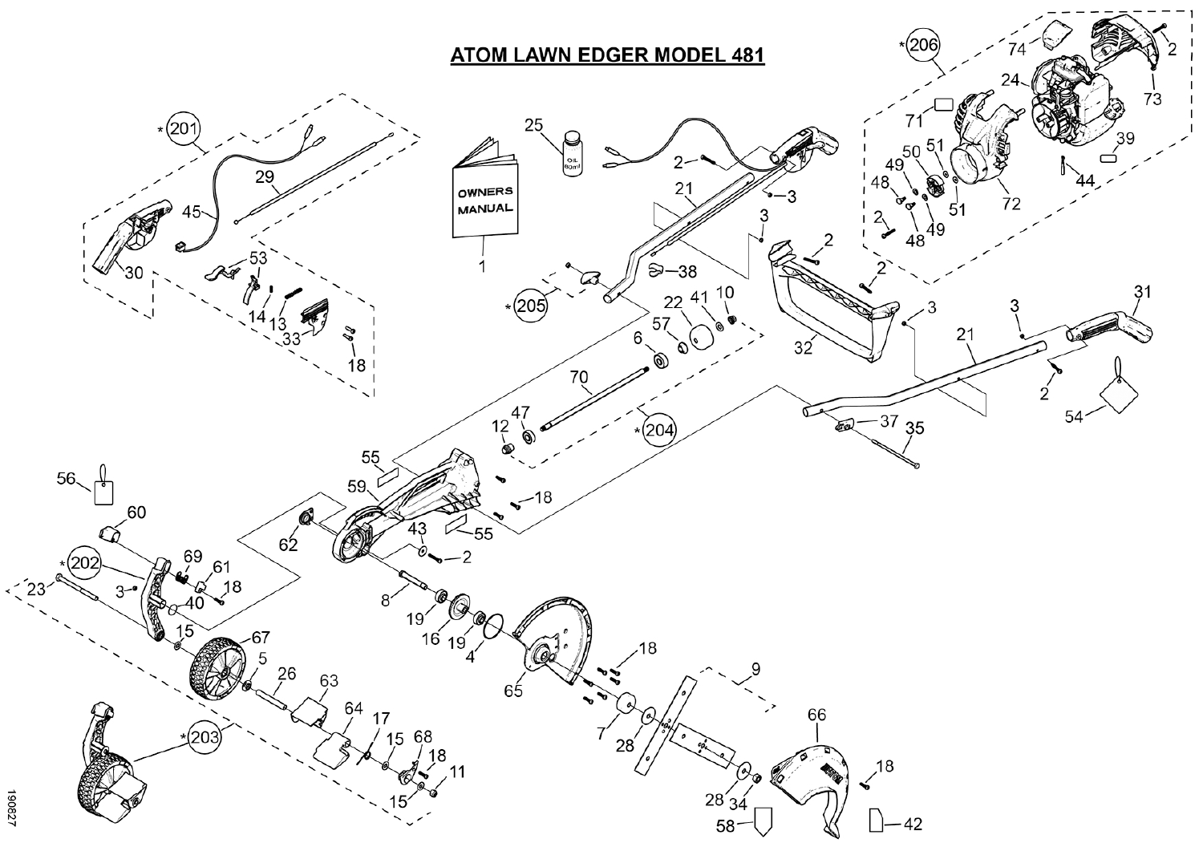